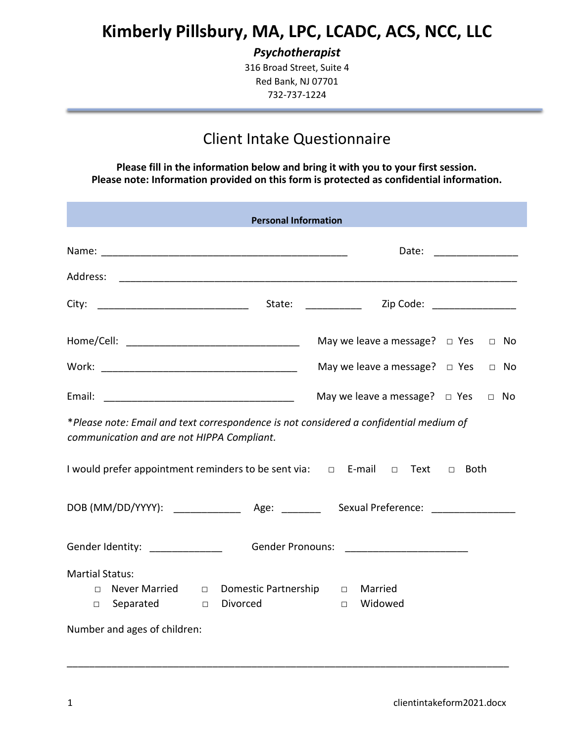# **Kimberly Pillsbury, MA, LPC, LCADC, ACS, NCC, LLC**

*Psychotherapist*

316 Broad Street, Suite 4 Red Bank, NJ 07701 732-737-1224

## Client Intake Questionnaire

**Please fill in the information below and bring it with you to your first session. Please note: Information provided on this form is protected as confidential information.**

| <b>Personal Information</b>                                                                                                                                       |                                                 |  |  |  |  |  |  |
|-------------------------------------------------------------------------------------------------------------------------------------------------------------------|-------------------------------------------------|--|--|--|--|--|--|
|                                                                                                                                                                   | Date: __________________                        |  |  |  |  |  |  |
|                                                                                                                                                                   |                                                 |  |  |  |  |  |  |
|                                                                                                                                                                   |                                                 |  |  |  |  |  |  |
|                                                                                                                                                                   | May we leave a message? $\Box$ Yes<br>$\Box$ No |  |  |  |  |  |  |
|                                                                                                                                                                   | May we leave a message? $\Box$ Yes $\Box$ No    |  |  |  |  |  |  |
|                                                                                                                                                                   | May we leave a message? $\Box$ Yes<br>$\Box$ No |  |  |  |  |  |  |
| *Please note: Email and text correspondence is not considered a confidential medium of<br>communication and are not HIPPA Compliant.                              |                                                 |  |  |  |  |  |  |
| I would prefer appointment reminders to be sent via: □ E-mail □ Text<br><b>Both</b><br>$\Box$                                                                     |                                                 |  |  |  |  |  |  |
|                                                                                                                                                                   |                                                 |  |  |  |  |  |  |
| Gender Identity: ______________<br>Gender Pronouns: _________________________                                                                                     |                                                 |  |  |  |  |  |  |
| <b>Martial Status:</b><br>Never Married $\Box$ Domestic Partnership $\Box$<br>$\Box$<br>Separated<br>Divorced<br>$\Box$<br>$\Box$<br>Number and ages of children: | Married<br>Widowed<br>$\Box$                    |  |  |  |  |  |  |

\_\_\_\_\_\_\_\_\_\_\_\_\_\_\_\_\_\_\_\_\_\_\_\_\_\_\_\_\_\_\_\_\_\_\_\_\_\_\_\_\_\_\_\_\_\_\_\_\_\_\_\_\_\_\_\_\_\_\_\_\_\_\_\_\_\_\_\_\_\_\_\_\_\_\_\_\_\_\_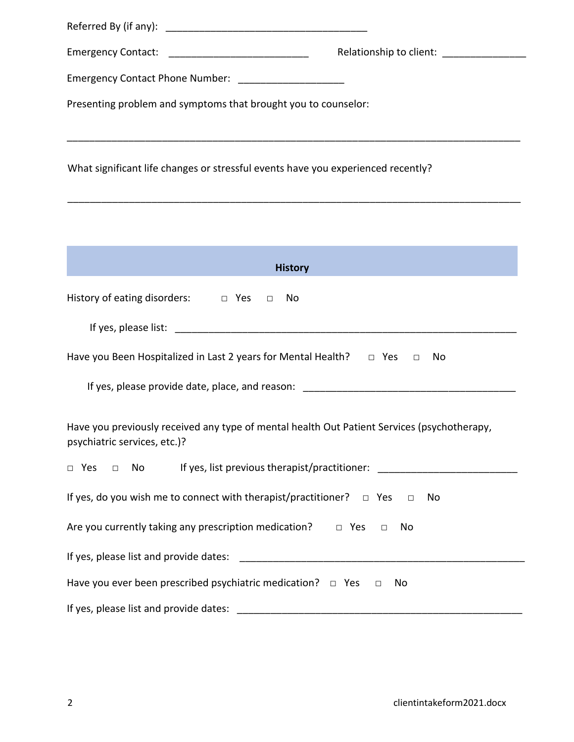| Relationship to client:<br>Emergency Contact: ___________________________________                                           |  |  |  |  |  |
|-----------------------------------------------------------------------------------------------------------------------------|--|--|--|--|--|
| Emergency Contact Phone Number: _____________________                                                                       |  |  |  |  |  |
| Presenting problem and symptoms that brought you to counselor:                                                              |  |  |  |  |  |
| What significant life changes or stressful events have you experienced recently?                                            |  |  |  |  |  |
|                                                                                                                             |  |  |  |  |  |
| <b>History</b><br>$\mathcal{L}(\mathcal{L})$ and $\mathcal{L}(\mathcal{L})$ and $\mathcal{L}(\mathcal{L})$                  |  |  |  |  |  |
| History of eating disorders: $\Box$ Yes $\Box$ No                                                                           |  |  |  |  |  |
|                                                                                                                             |  |  |  |  |  |
| Have you Been Hospitalized in Last 2 years for Mental Health? $\Box$ Yes $\Box$<br>No                                       |  |  |  |  |  |
|                                                                                                                             |  |  |  |  |  |
| Have you previously received any type of mental health Out Patient Services (psychotherapy,<br>psychiatric services, etc.)? |  |  |  |  |  |
| No lf yes, list previous therapist/practitioner: _______________________________<br>$\Box$ Yes<br>$\qquad \Box$             |  |  |  |  |  |
| If yes, do you wish me to connect with therapist/practitioner? $\Box$ Yes $\Box$<br>No                                      |  |  |  |  |  |
| Are you currently taking any prescription medication? $\Box$ Yes $\Box$<br>No                                               |  |  |  |  |  |
|                                                                                                                             |  |  |  |  |  |
| Have you ever been prescribed psychiatric medication? $\Box$ Yes $\Box$<br>No                                               |  |  |  |  |  |
|                                                                                                                             |  |  |  |  |  |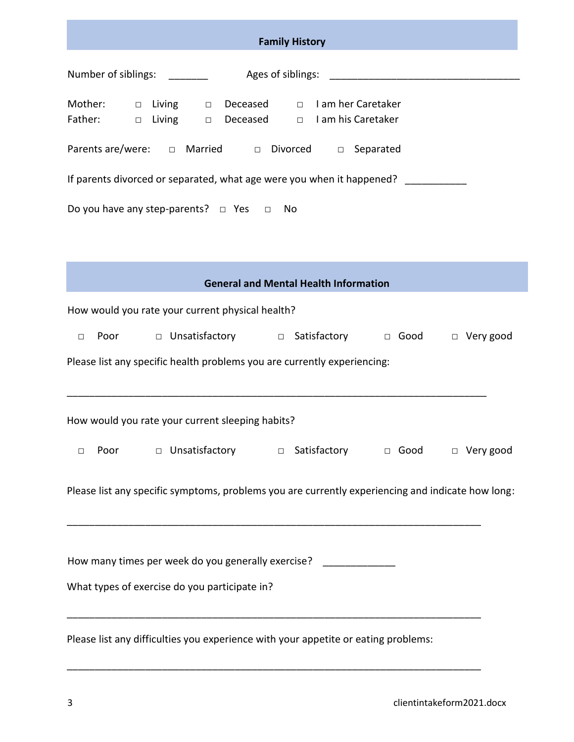| <b>Family History</b>                                                                                                              |  |  |  |  |
|------------------------------------------------------------------------------------------------------------------------------------|--|--|--|--|
| Number of siblings: ________                                                                                                       |  |  |  |  |
| Mother: $\Box$ Living $\Box$ Deceased $\Box$ I am her Caretaker<br>Father: $\Box$ Living $\Box$ Deceased $\Box$ I am his Caretaker |  |  |  |  |
| Parents are/were: $\Box$ Married $\Box$ Divorced $\Box$ Separated                                                                  |  |  |  |  |
| If parents divorced or separated, what age were you when it happened? __________                                                   |  |  |  |  |
| Do you have any step-parents? $\Box$ Yes $\Box$ No                                                                                 |  |  |  |  |
|                                                                                                                                    |  |  |  |  |
|                                                                                                                                    |  |  |  |  |
| <b>General and Mental Health Information</b>                                                                                       |  |  |  |  |
| How would you rate your current physical health?                                                                                   |  |  |  |  |
| $\Box$                                                                                                                             |  |  |  |  |
| Please list any specific health problems you are currently experiencing:                                                           |  |  |  |  |
|                                                                                                                                    |  |  |  |  |
| How would you rate your current sleeping habits?                                                                                   |  |  |  |  |
| □ Unsatisfactory<br>□ Satisfactory □ Good<br>$\Box$ Very good<br>Poor<br>$\Box$                                                    |  |  |  |  |
|                                                                                                                                    |  |  |  |  |
| Please list any specific symptoms, problems you are currently experiencing and indicate how long:                                  |  |  |  |  |
|                                                                                                                                    |  |  |  |  |
| How many times per week do you generally exercise?                                                                                 |  |  |  |  |
| What types of exercise do you participate in?                                                                                      |  |  |  |  |
|                                                                                                                                    |  |  |  |  |
| Please list any difficulties you experience with your appetite or eating problems:                                                 |  |  |  |  |

\_\_\_\_\_\_\_\_\_\_\_\_\_\_\_\_\_\_\_\_\_\_\_\_\_\_\_\_\_\_\_\_\_\_\_\_\_\_\_\_\_\_\_\_\_\_\_\_\_\_\_\_\_\_\_\_\_\_\_\_\_\_\_\_\_\_\_\_\_\_\_\_\_\_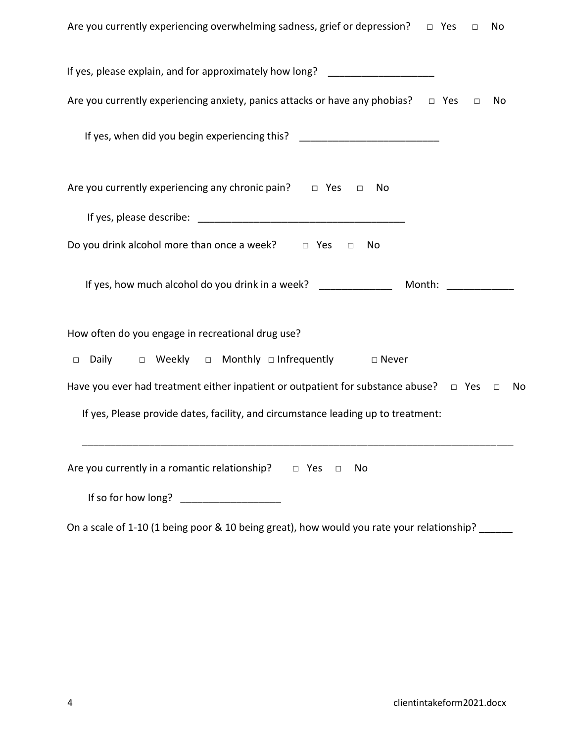| Are you currently experiencing overwhelming sadness, grief or depression? $\Box$ Yes<br>No<br>$\Box$       |
|------------------------------------------------------------------------------------------------------------|
| If yes, please explain, and for approximately how long? ________________________                           |
| Are you currently experiencing anxiety, panics attacks or have any phobias? $\Box$ Yes<br>No<br>$\Box$     |
| If yes, when did you begin experiencing this? __________________________________                           |
| Are you currently experiencing any chronic pain? $\Box$ Yes<br>No<br>$\Box$                                |
|                                                                                                            |
| Do you drink alcohol more than once a week? $\Box$ Yes<br>No<br>$\Box$                                     |
|                                                                                                            |
| How often do you engage in recreational drug use?                                                          |
| $\Box$ Daily $\Box$ Weekly $\Box$ Monthly $\Box$ Infrequently $\Box$ Never                                 |
| Have you ever had treatment either inpatient or outpatient for substance abuse? $\Box$ Yes<br>No<br>$\Box$ |
| If yes, Please provide dates, facility, and circumstance leading up to treatment:                          |
| Are you currently in a romantic relationship? $\Box$ Yes<br>No<br>$\Box$                                   |
| If so for how long? _____________________                                                                  |

On a scale of 1-10 (1 being poor & 10 being great), how would you rate your relationship? \_\_\_\_\_\_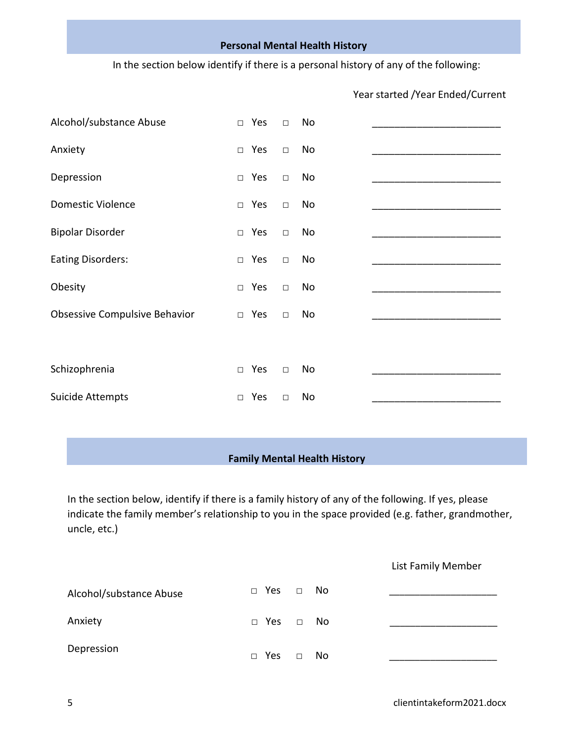#### **Personal Mental Health History**

In the section below identify if there is a personal history of any of the following:

| Alcohol/substance Abuse       | $\Box$ Yes    | $\Box$ | No |  |
|-------------------------------|---------------|--------|----|--|
| Anxiety                       | $\Box$ Yes    | $\Box$ | No |  |
| Depression                    | Yes<br>$\Box$ | $\Box$ | No |  |
| <b>Domestic Violence</b>      | Yes<br>$\Box$ | $\Box$ | No |  |
| <b>Bipolar Disorder</b>       | Yes<br>$\Box$ | $\Box$ | No |  |
| <b>Eating Disorders:</b>      | Yes<br>$\Box$ | $\Box$ | No |  |
| Obesity                       | Yes<br>$\Box$ | $\Box$ | No |  |
| Obsessive Compulsive Behavior | $\Box$ Yes    | $\Box$ | No |  |
|                               |               |        |    |  |
| Schizophrenia                 | Yes<br>$\Box$ | $\Box$ | No |  |
| Suicide Attempts              | Yes<br>$\Box$ | $\Box$ | No |  |

### Year started /Year Ended/Current

#### **Family Mental Health History**

In the section below, identify if there is a family history of any of the following. If yes, please indicate the family member's relationship to you in the space provided (e.g. father, grandmother, uncle, etc.)

|                         |                      |        |     | List Family Member |
|-------------------------|----------------------|--------|-----|--------------------|
| Alcohol/substance Abuse | □ Yes                | $\Box$ | No. |                    |
| Anxiety                 | $\Box$ Yes $\Box$ No |        |     |                    |
| Depression              | Yes<br>п             | П      | No  |                    |